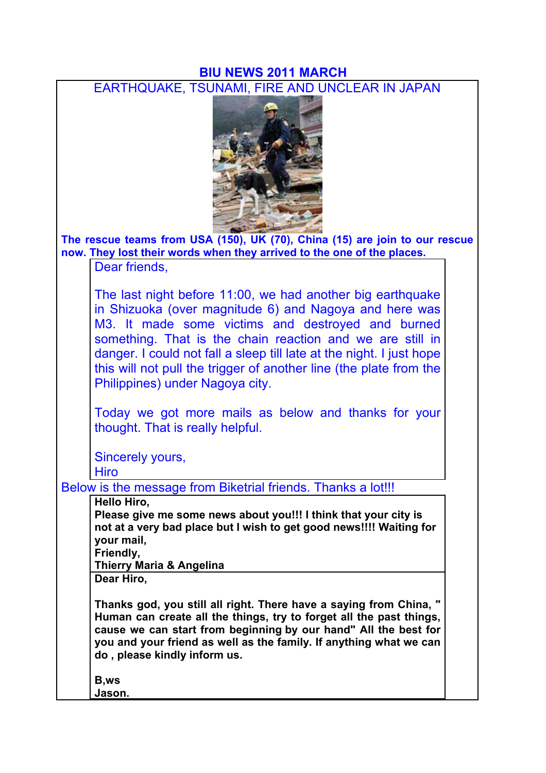## **BIU NEWS 2011 MARCH**

EARTHQUAKE, TSUNAMI, FIRE AND UNCLEAR IN JAPAN



**The rescue teams from USA (150), UK (70), China (15) are join to our rescue now. They lost their words when they arrived to the one of the places.**

Dear friends,

The last night before 11:00, we had another big earthquake in Shizuoka (over magnitude 6) and Nagoya and here was M3. It made some victims and destroyed and burned something. That is the chain reaction and we are still in danger. I could not fall a sleep till late at the night. I just hope this will not pull the trigger of another line (the plate from the Philippines) under Nagoya city.

Today we got more mails as below and thanks for your thought. That is really helpful.

Sincerely yours,

Hiro

Below is the message from Biketrial friends. Thanks a lot!!!

**Hello Hiro,**

**Please give me some news about you!!! I think that your city is not at a very bad place but I wish to get good news!!!! Waiting for your mail,**

**Friendly,**

**Thierry Maria & Angelina**

**Dear Hiro,**

**Thanks god, you still all right. There have a saying from China, " Human can create all the things, try to forget all the past things, cause we can start from beginning by our hand" All the best for you and your friend as well as the family. If anything what we can do , please kindly inform us.** 

**B,ws Jason.**